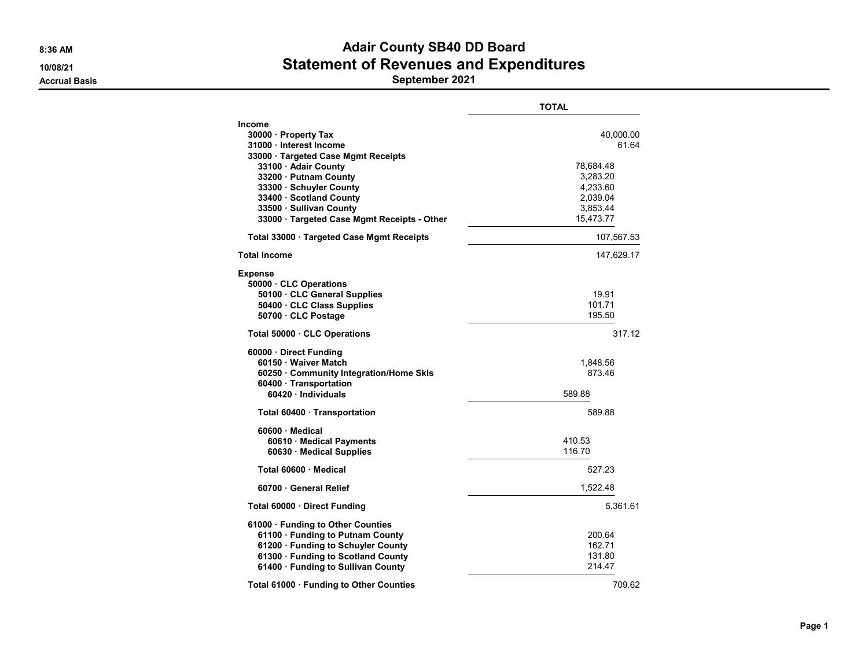#### 8:36 AM **Adair County SB40 DD Board** 10/08/21 Statement of Revenues and Expenditures Accrual Basis September 2021

TOTAL Income 30000 · Property Tax 40,000.00 31000 · Interest Income 61.64 33000 · Targeted Case Mgmt Receipts **33100 · Adair County 78,684.48** 33200 · Putnam County 3,283.20 33300 · Schuyler County 4,233.60 33400 · Scotland County **33500 · Sullivan County 2008 · Sullivan County 3,853.44** 33000 · Targeted Case Mgmt Receipts - Other 15,473.77 Total 33000 · Targeted Case Mgmt Receipts 107,567.53 Total Income 147,629.17 Expense 50000 · CLC Operations 50100 · CLC General Supplies 19.91 50400 · CLC Class Supplies 101.71 **50700 · CLC Postage 195.50** Total 50000 · CLC Operations 317.12 60000 · Direct Funding 60150 · Waiver Match 1,848.56 60250 · Community Integration/Home Skls 873.46 60400 · Transportation 60420 · Individuals 589.88 **Total 60400 · Transportation 6889.88 1988 1988 1988 1988 1988 1988 1988 1988 1988 1988 1988 1988 1988 1988 1988 1988 1988 1988 1988 1988 1988 1988 1988 1988 1988 1988** 60600 · Medical 60610 · Medical Payments 410.53 60630 · Medical Supplies 116.70 Total 60600 · Medical 527.23 **60700 · General Relief 20070 · 1,522.48** Total 60000 · Direct Funding 6,361.61 61000 · Funding to Other Counties 61100 · Funding to Putnam County 200.64 61200 · Funding to Schuyler County **162.71**<br>61300 · Funding to Scotland County **131.80** 61300 · Funding to Scotland County 61400 · Funding to Sullivan County 214.47 Total 61000 · Funding to Other Counties 709.62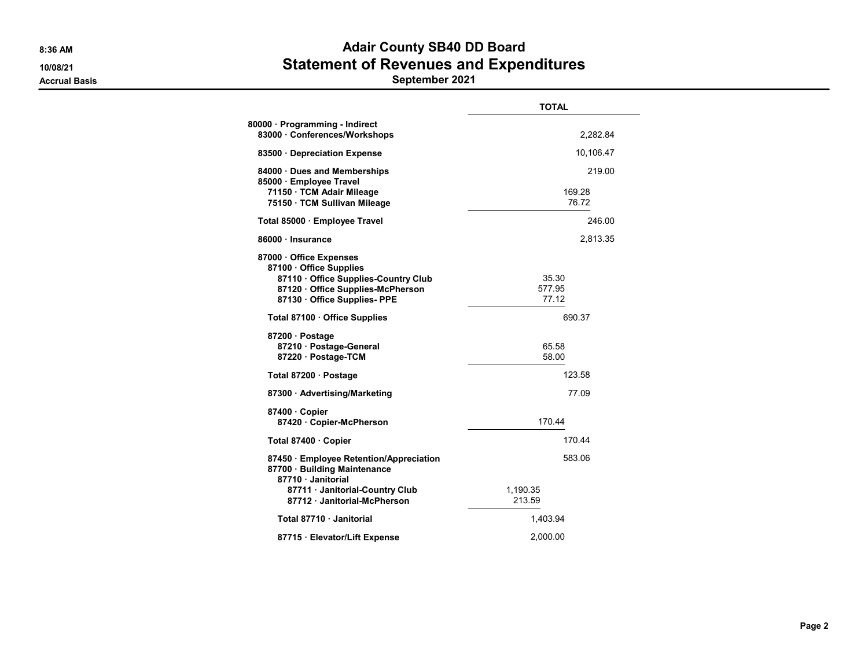## 8:36 AM **Adair County SB40 DD Board** 10/08/21 Statement of Revenues and Expenditures Accrual Basis **September 2021**

|                                                                                                                                                             | <b>TOTAL</b>              |
|-------------------------------------------------------------------------------------------------------------------------------------------------------------|---------------------------|
| 80000 · Programming - Indirect<br>83000 · Conferences/Workshops                                                                                             | 2,282.84                  |
| 83500 Depreciation Expense                                                                                                                                  | 10,106.47                 |
| 84000 · Dues and Memberships<br>85000 · Employee Travel<br>71150 · TCM Adair Mileage<br>75150 · TCM Sullivan Mileage                                        | 219.00<br>169.28<br>76.72 |
| Total 85000 · Employee Travel                                                                                                                               | 246.00                    |
| 86000 · Insurance                                                                                                                                           | 2,813.35                  |
| 87000 Office Expenses<br>87100 · Office Supplies<br>87110 · Office Supplies-Country Club<br>87120 Office Supplies-McPherson<br>87130 · Office Supplies- PPE | 35.30<br>577.95<br>77.12  |
| Total 87100 · Office Supplies                                                                                                                               | 690.37                    |
| 87200 · Postage<br>87210 · Postage-General<br>87220 · Postage-TCM                                                                                           | 65.58<br>58.00            |
| Total 87200 · Postage                                                                                                                                       | 123.58                    |
| 87300 · Advertising/Marketing                                                                                                                               | 77.09                     |
| 87400 · Copier<br>87420 · Copier-McPherson                                                                                                                  | 170.44                    |
| Total 87400 · Copier                                                                                                                                        | 170.44                    |
| 87450 · Employee Retention/Appreciation<br>87700 · Building Maintenance<br>87710 · Janitorial                                                               | 583.06                    |
| 87711 Janitorial-Country Club<br>87712 Janitorial-McPherson                                                                                                 | 1,190.35<br>213.59        |
| Total 87710 · Janitorial                                                                                                                                    | 1,403.94                  |
| 87715 · Elevator/Lift Expense                                                                                                                               | 2.000.00                  |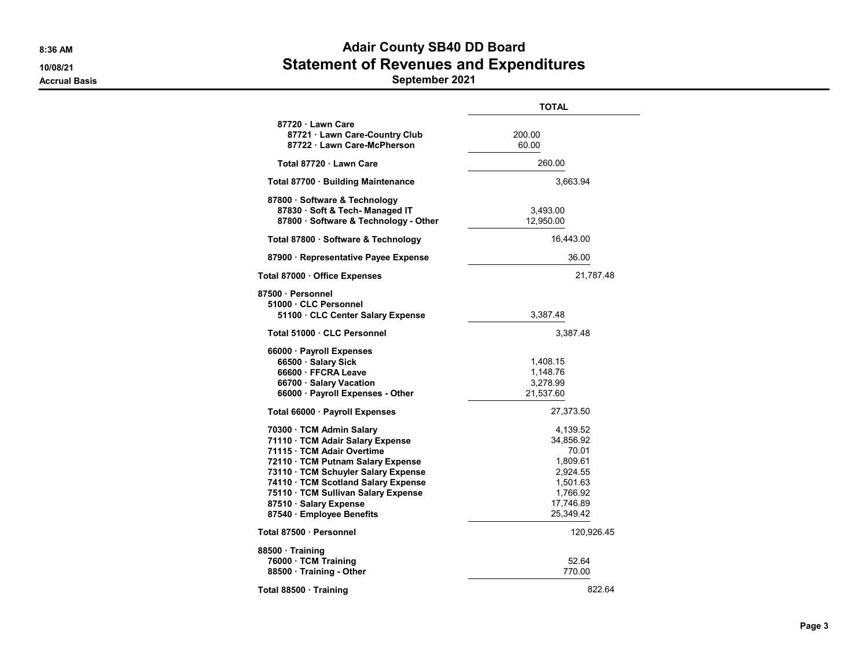# 8:36 AM BOAT AND THE SERVICE OF STREET AND ACAIL COUNTY SERVICE OF BOAT AND ACAIL STREET AND ACAIL OF STREET A 10/08/21 Statement of Revenues and Expenditures

Accrual Basis September 2021

|                                                                                                                                                                                                                                                                                                             | <b>TOTAL</b>                                                                                             |
|-------------------------------------------------------------------------------------------------------------------------------------------------------------------------------------------------------------------------------------------------------------------------------------------------------------|----------------------------------------------------------------------------------------------------------|
| 87720 Lawn Care<br>87721 Lawn Care-Country Club<br>87722 · Lawn Care-McPherson                                                                                                                                                                                                                              | 200.00<br>60.00                                                                                          |
| Total 87720 Lawn Care                                                                                                                                                                                                                                                                                       | 260.00                                                                                                   |
| Total 87700 · Building Maintenance                                                                                                                                                                                                                                                                          | 3,663.94                                                                                                 |
| 87800 · Software & Technology<br>87830 · Soft & Tech- Managed IT<br>87800 · Software & Technology - Other                                                                                                                                                                                                   | 3,493.00<br>12,950.00                                                                                    |
| Total 87800 · Software & Technology                                                                                                                                                                                                                                                                         | 16,443.00                                                                                                |
| 87900 · Representative Payee Expense                                                                                                                                                                                                                                                                        | 36.00                                                                                                    |
| Total 87000 · Office Expenses                                                                                                                                                                                                                                                                               | 21,787.48                                                                                                |
| 87500 · Personnel<br>51000 · CLC Personnel<br>51100 · CLC Center Salary Expense                                                                                                                                                                                                                             | 3,387.48                                                                                                 |
| Total 51000 · CLC Personnel                                                                                                                                                                                                                                                                                 | 3,387.48                                                                                                 |
| 66000 · Payroll Expenses<br>66500 · Salary Sick<br>66600 · FFCRA Leave<br>66700 · Salary Vacation<br>66000 · Payroll Expenses - Other                                                                                                                                                                       | 1,408.15<br>1,148.76<br>3,278.99<br>21,537.60                                                            |
| Total 66000 · Payroll Expenses                                                                                                                                                                                                                                                                              | 27,373.50                                                                                                |
| 70300 · TCM Admin Salary<br>71110 · TCM Adair Salary Expense<br>71115 · TCM Adair Overtime<br>72110 · TCM Putnam Salary Expense<br>73110 · TCM Schuyler Salary Expense<br>74110 · TCM Scotland Salary Expense<br>75110 · TCM Sullivan Salary Expense<br>87510 · Salary Expense<br>87540 · Employee Benefits | 4,139.52<br>34,856.92<br>70.01<br>1,809.61<br>2,924.55<br>1,501.63<br>1,766.92<br>17,746.89<br>25,349.42 |
| Total 87500 · Personnel                                                                                                                                                                                                                                                                                     | 120,926.45                                                                                               |
| 88500 · Training<br>76000 · TCM Training<br>88500 · Training - Other                                                                                                                                                                                                                                        | 52.64<br>770.00                                                                                          |
| Total 88500 Training                                                                                                                                                                                                                                                                                        | 822.64                                                                                                   |